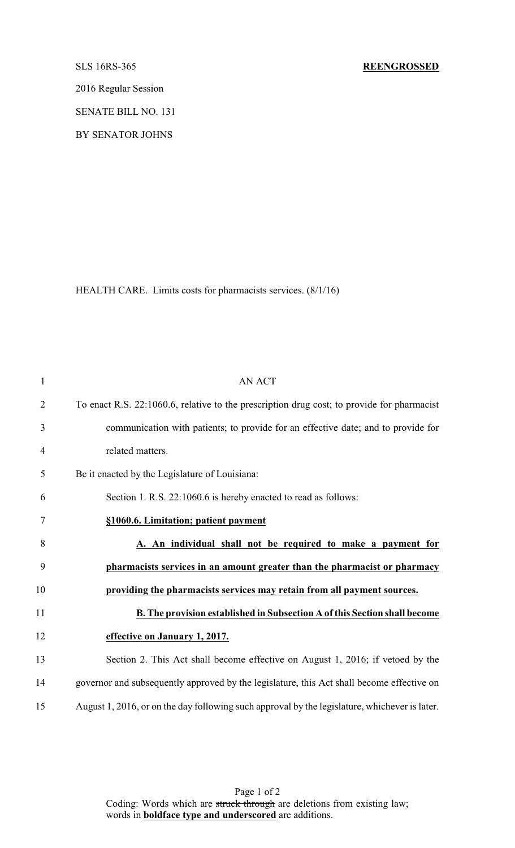2016 Regular Session

SENATE BILL NO. 131

BY SENATOR JOHNS

HEALTH CARE. Limits costs for pharmacists services. (8/1/16)

| $\mathbf{1}$   | <b>AN ACT</b>                                                                                 |
|----------------|-----------------------------------------------------------------------------------------------|
| $\overline{2}$ | To enact R.S. 22:1060.6, relative to the prescription drug cost; to provide for pharmacist    |
| 3              | communication with patients; to provide for an effective date; and to provide for             |
| $\overline{4}$ | related matters.                                                                              |
| 5              | Be it enacted by the Legislature of Louisiana:                                                |
| 6              | Section 1. R.S. 22:1060.6 is hereby enacted to read as follows:                               |
| 7              | §1060.6. Limitation; patient payment                                                          |
| 8              | A. An individual shall not be required to make a payment for                                  |
| 9              | pharmacists services in an amount greater than the pharmacist or pharmacy                     |
| 10             | providing the pharmacists services may retain from all payment sources.                       |
| 11             | B. The provision established in Subsection A of this Section shall become                     |
| 12             | effective on January 1, 2017.                                                                 |
| 13             | Section 2. This Act shall become effective on August 1, 2016; if vetoed by the                |
| 14             | governor and subsequently approved by the legislature, this Act shall become effective on     |
| 15             | August 1, 2016, or on the day following such approval by the legislature, whichever is later. |